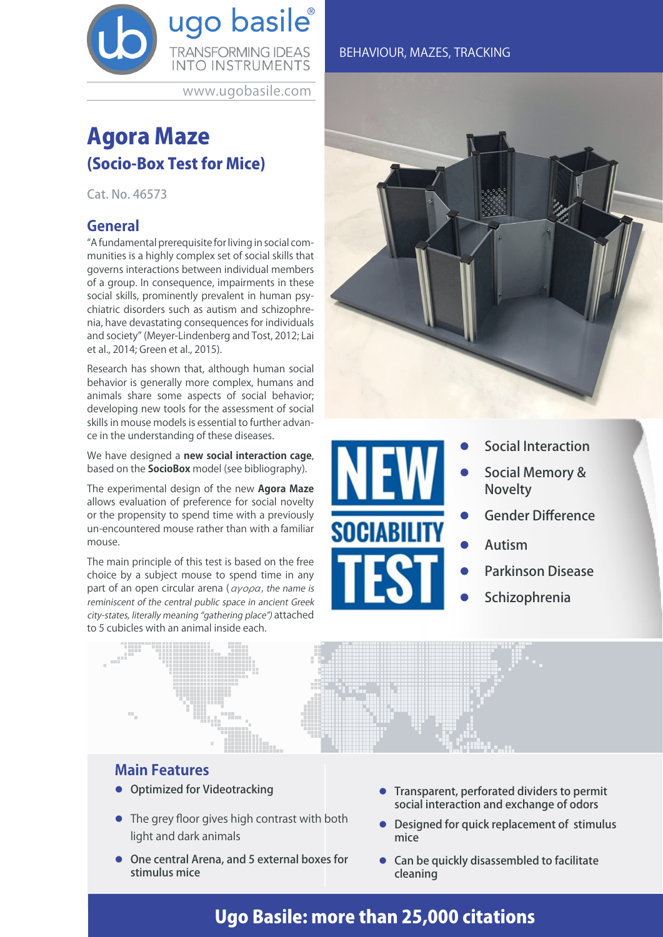

www.ugobasile.com

# Agora Maze (Socio-Box Test for Mice)

Cat. No. 46573

## **General**

"A fundamental prerequisite for living in social communities is a highly complex set of social skills that governs interactions between individual members of a group. In consequence, impairments in these social skills, prominently prevalent in human psychiatric disorders such as autism and schizophrenia, have devastating consequences for individuals and society" (Meyer-Lindenberg and Tost, 2012; Lai et al., 2014; Green et al., 2015).

Research has shown that, although human social behavior is generally more complex, humans and animals share some aspects of social behavior; developing new tools for the assessment of social skills in mouse models is essential to further advance in the understanding of these diseases.

We have designed a **new social interaction cage**, based on the **SocioBox** model (see bibliography).

The experimental design of the new **Agora Maze** allows evaluation of preference for social novelty or the propensity to spend time with a previously un-encountered mouse rather than with a familiar mouse.

The main principle of this test is based on the free choice by a subject mouse to spend time in any part of an open circular arena ( $\alpha \gamma \circ \rho \alpha$ , the name is reminiscent of the central public space in ancient Greek city-states, literally meaning "gathering place") attached to 5 cubicles with an animal inside each.





- Social Interaction
- Social Memory & Novelty
- Gender Difference
- Autism
- Parkinson Disease
- Schizophrenia



## **Main Features**

- **Optimized for Videotracking**
- The grey floor gives high contrast with both light and dark animals
- One central Arena, and 5 external boxes for stimulus mice
- **•** Transparent, perforated dividers to permit social interaction and exchange of odors
- Designed for quick replacement of stimulus mice
- $\bullet$  Can be quickly disassembled to facilitate cleaning

# Ugo Basile: more than 25,000 citations